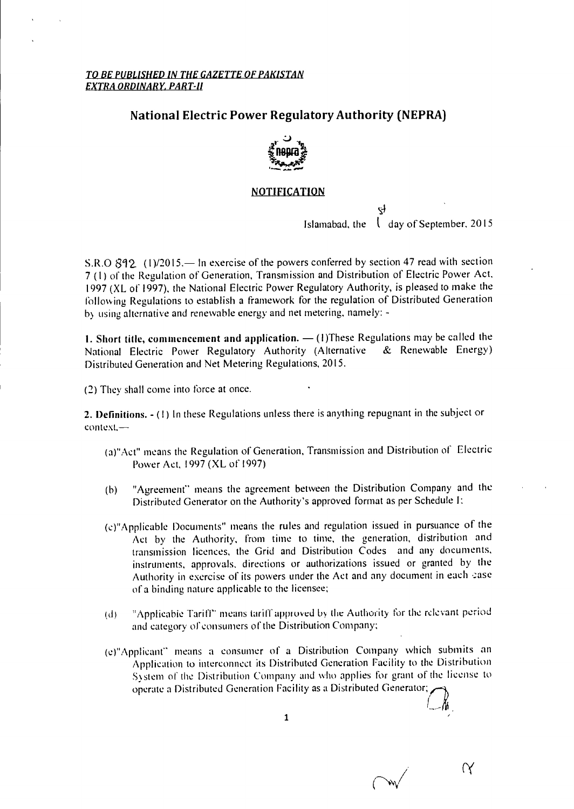#### *TO BE PUBLISHED IN THE GAZETTE OF PAKISTAN EXTRA ORDINARY, PART-II*

### **National Electric Power Regulatory Authority (NEPRA)**



#### **NOTIFICATION**

Islamabad, the  $\int$  day of September, 2015

 $\alpha$ 

S.R.O  $812$  (1)/2015.— In exercise of the powers conferred by section 47 read with section 7 (I) of the Regulation of Generation, Transmission and Distribution of Electric Power Act, 1997 (XL of 1997), the National Electric Power Regulatory Authority, is pleased to make the following Regulations to establish a framework for the regulation of Distributed Generation by using alternative and renewable energy and net metering, namely: -

**1. Short title, commencement and application.** — (1)These Regulations may be called the National Flectric Power Regulatory Authority (Alternative & Renewable Energy) National Electric Power Regulatory Authority (Alternative Distributed Generation and Net Metering Regulations, 2015.

(2) They shall come into force at once.

**2. Definitions. - (** I) In these Regulations unless there is anything repugnant in the subject or context,—

- (a)"Act" means the Regulation of Generation, Transmission and Distribution of Electric Power Act, 1997 (XL of 1997)
- (b) "Agreement" means the agreement between the Distribution Company and the Distributed Generator on the Authority's approved format as per Schedule
- (c)"Applicable Documents" means the rules and regulation issued in pursuance of the Act by the Authority, from time to time, the generation, distribution and transmission licences, the Grid and Distribution Codes and any documents, instruments, approvals, directions or authorizations issued or granted by the Authority in exercise of its powers under the Act and any document in each case of a binding nature applicable to the licensee;
- (d) "Applicable Tariff- means tariff approved by the Authority for the relevant period and category of consumers of the Distribution Company;
- (e)"Applicant" means a consumer of a Distribution Company which submits an Application to interconnect its Distributed Generation Facility to the Distribution System of the Distribution Company and who applies for grant of the license to operate a Distributed Generation Facility as a Distributed Generator;

1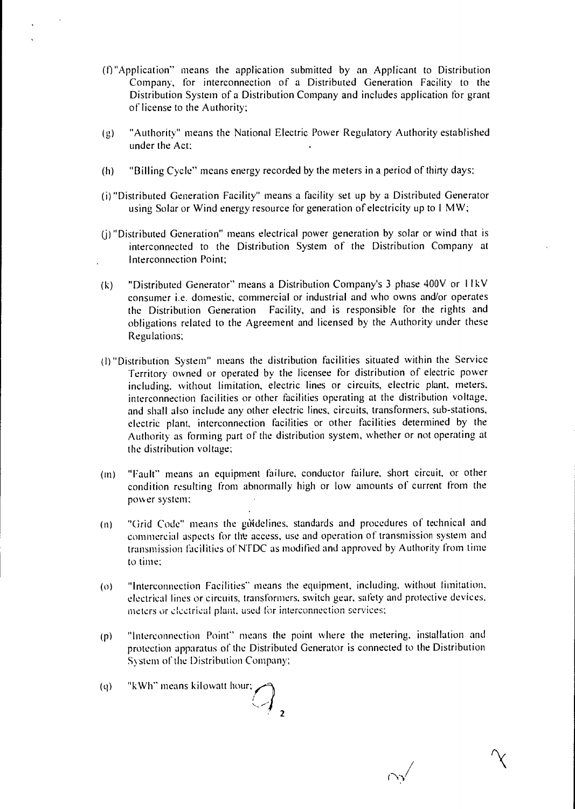- (0 "Application" means the application submitted by an Applicant to Distribution Company, for interconnection of a Distributed Generation Facility to the Distribution System of a Distribution Company and includes application for grant of license to the Authority;
- "Authority" means the National Electric Power Regulatory Authority established  $(g)$ under the Act:
- (h) "Billing Cycle" means energy recorded by the meters in a period of thirty days;
- (i) "Distributed Generation Facility" means a facility set up by a Distributed Generator using Solar or Wind energy resource for generation of electricity up to I MW;
- (j) "Distributed Generation" means electrical power generation by solar or wind that is interconnected to the Distribution System of the Distribution Company at Interconnection Point;
- (k) "Distributed Generator" means a Distribution Company's 3 phase 400V or I I kV consumer i.e. domestic, commercial or industrial and who owns and/or operates the Distribution Generation Facility, and is responsible for the rights and obligations related to the Agreement and licensed by the Authority under these Regulations;
- (I) "Distribution System" means the distribution facilities situated within the Service Territory owned or operated by the licensee for distribution of electric power including, without limitation, electric lines or circuits, electric plant, meters, interconnection facilities or other facilities operating at the distribution voltage, and shall also include any other electric lines, circuits, transformers, sub-stations, electric plant, interconnection facilities or other facilities determined by the Authority as forming part of the distribution system, whether or not operating at the distribution voltage;
- (m) "Fault" means an equipment failure, conductor failure, short circuit, or other condition resulting from abnormally high or low amounts of current from the power system;
- (n) "Grid Code" means the gutdelines, standards and procedures of technical and commercial aspects for tht access, use and operation of transmission system and transmission facilities of NTDC as modified and approved by Authority from time to time;
- (o) "Interconnection Facilities" means the equipment, including, without limitation, electrical lines or circuits, transformers, switch gear, safety and protective devices, meters or electrical plant, used for interconnection services;
- (p) "Interconnection Point" means the point where the metering, installation and protection apparatus of the Distributed Generator is connected to the Distribution System of the Distribution Company;
- (g) "kWh" means kilowatt hour; **2**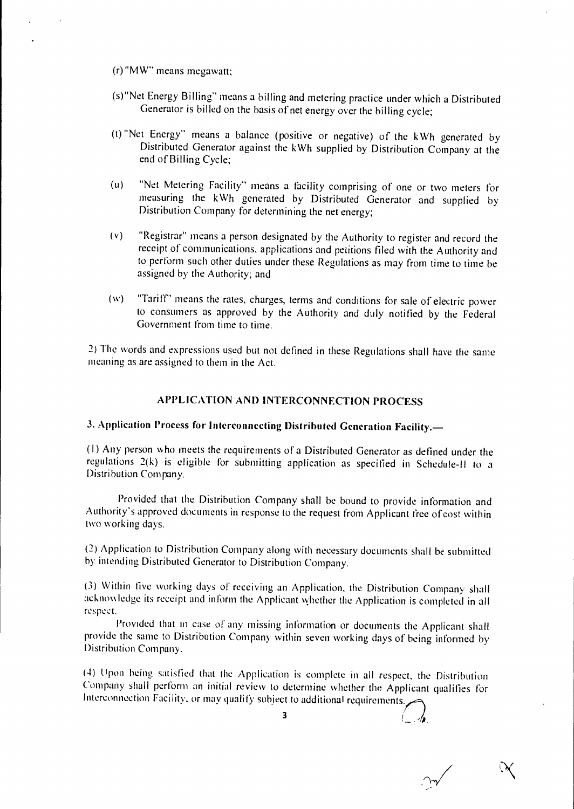- (r)"MW" means megawatt;
- (s)"Net Energy Billing" means a billing and metering practice under which a Distributed Generator is billed on the basis of net energy over the billing cycle;
- (t) Net Energy" means a balance (positive or negative) of the kWh generated by Distributed Generator against the kWh supplied by Distribution Company at the end of Billing Cycle;
- "Net Metering Facility" means a facility comprising of one or two meters for measuring the kWh generated by Distributed Generator and supplied by Distribution Company for determining the net energy; (u)
- (v) "Registrar" means a person designated by the Authority to register and record the receipt of communications, applications and petitions filed with the Authority and to perform such other duties under these Regulations as may from time to time be assigned by the Authority; and
- (w) "Tariff" means the rates, charges, terms and conditions for sale of electric power to consumers as approved by the Authority and duly notified by the Federal Government from time to time.

2) The words and expressions used but not defined in these Regulations shall have the same meaning as are assigned to them in the Act.

### **APPLICATION AND INTERCONNECTION PROCESS**

### **3. Application Process for Interconnecting Distributed Generation Facility.—**

**(I)** Any person who meets the requirements of a Distributed Generator as defined under the regulations 2(k) is eligible for submitting application as specified in Schedule-II to a Distribution Company.

Provided that the Distribution Company shall be bound to provide information and Authority's approved documents in response to the request from Applicant free of cost within two working days.

(2) Application to Distribution Company along with necessary documents shall be submitted by intending Distributed Generator to Distribution Company.

(3) Within five working days of receiving an Application, the Distribution Company shall acknowledge its receipt and inform the Applicant whether the Application is completed in all respect.

Provided that in case of any missing information or documents the Applicant shall provide the same to Distribution Company within seven working days of being informed by Distribution Company.

(4) Upon being satisfied that the Application is complete in all respect, the Distribution Company shall perform an initial review to determine whether the Applicant qualifies for Interconnection Facility, or may qualify subject to additional requirements.

**3**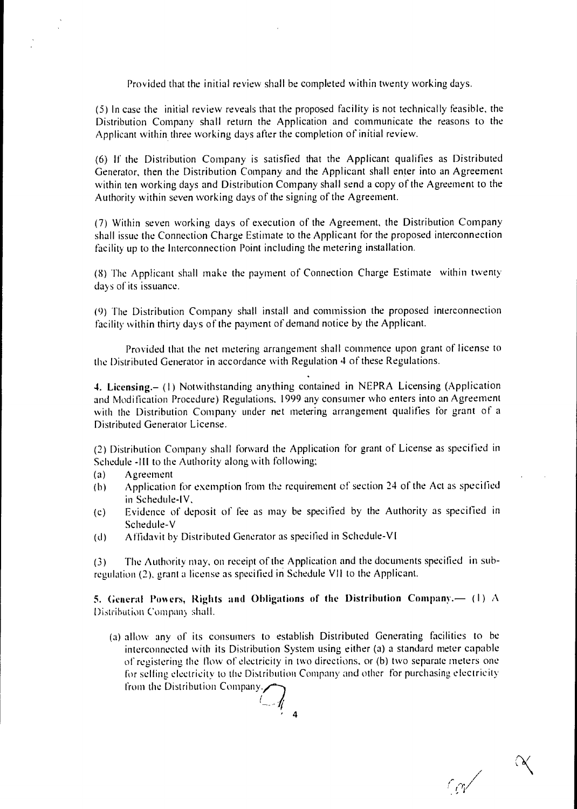Provided that the initial review shall be completed within twenty working days.

(5) In case the initial review reveals that the proposed facility is not technically feasible, the Distribution Company shall return the Application and communicate the reasons to the Applicant within three working days after the completion of initial review.

(6) If the Distribution Company is satisfied that the Applicant qualifies as Distributed Generator, then the Distribution Company and the Applicant shall enter into an Agreement within ten working days and Distribution Company shall send a copy of the Agreement to the Authority within seven working days of the signing of the Agreement.

(7) Within seven working days of execution of the Agreement, the Distribution Company shall issue the Connection Charge Estimate to the Applicant for the proposed interconnection facility up to the Interconnection Point including the metering installation.

(8) The Applicant shall make the payment of Connection Charge Estimate within twenty days of its issuance.

(9) The Distribution Company shall install and commission the proposed interconnection facility within thirty days of the payment of demand notice by the Applicant.

Provided that the *net* metering arrangement shall commence upon grant of license to the Distributed Generator in accordance with Regulation 4 of these Regulations.

**4. Licensing.– (I)** Notwithstanding anything contained in NEPRA Licensing (Application and Modification Procedure) Regulations, 1999 any consumer who enters into an Agreement with the Distribution Company under net metering arrangement qualifies for grant of a Distributed Generator License.

(2) Distribution Company shall forward the Application for grant of License as specified in Schedule -III to the Authority along with following;

- (a) Agreement
- (b) Application for exemption from the requirement of section 24 of the Act as specified in Schedule-IV,
- (c) Evidence of deposit of fee as may be specified by the Authority as specified in Schedule-V
- (d) Affidavit by Distributed Generator as specified in Schedule-VI

(3) The Authority may, on receipt of the Application and the documents specified in subregulation (2), grant a license as specified in Schedule VII to the Applicant.

**5. General Powers, Rights and Obligations of the Distribution Company.— (1) A** Distribution Company shall.

(a) allow any of its consumers to establish Distributed Generating facilities to be interconnected with its Distribution System using either (a) a standard meter capable of registering the flow of electricity in two directions, or (b) two separate meters one for selling electricity to the Distribution Company and other for purchasing *e* lectricity from the Distribution Company.

 $\bigcap$ **' 4**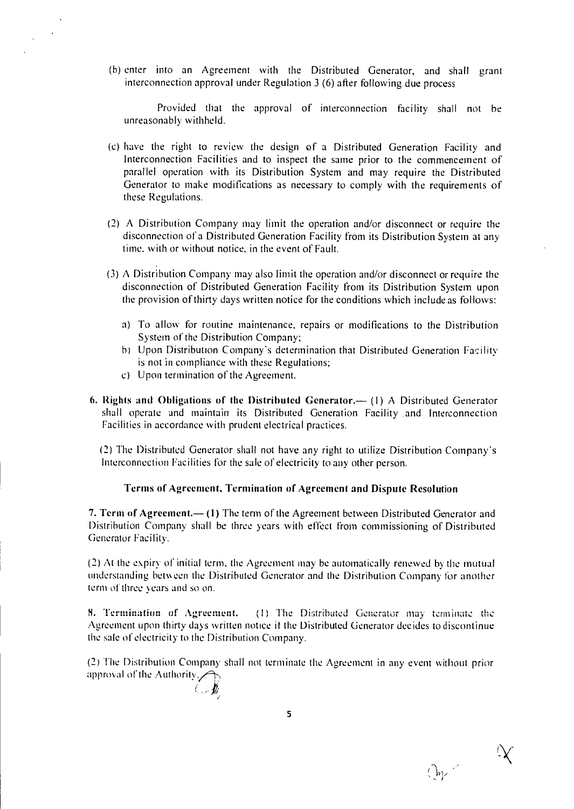(b) enter into an Agreement with the Distributed Generator, and shall grant interconnection approval under Regulation 3 (6) after following due process

Provided that the approval of interconnection facility shall not be unreasonably withheld.

- (c) have the right to review the design of a Distributed Generation Facility and Interconnection Facilities and to inspect the same prior to the commencement of parallel operation with its Distribution System and may require the Distributed Generator to make modifications as necessary to comply with the requirements of these Regulations.
- (2) A Distribution Company may limit the operation and/or disconnect or require the disconnection of a Distributed Generation Facility from its Distribution System at any time. with or without notice, in the event of Fault.
- (3) A Distribution Company may also limit the operation and/or disconnect or require the disconnection of Distributed Generation Facility from its Distribution System upon the provision of thirty days written notice for the conditions which include as follows:
	- a) To allow for routine maintenance, repairs or modifications to the Distribution System of the Distribution Company;
	- b) Upon Distribution Company's determination that Distributed Generation Facility is not in compliance with these Regulations;
	- c) Upon termination of the Agreement.
- **6. Rights and Obligations of the Distributed Generator.—** (I) A Distributed Generator shall operate and maintain its Distributed Generation Facility and Interconnection Facilities in accordance with prudent electrical practices.

(2) The Distributed Generator shall not have any right to utilize Distribution Company's Interconnection Facilities for the sale of electricity to any other person.

#### **Terms of Agreement, Termination of Agreement and Dispute Resolution**

**7. Term of Agreement.— (1)** The term of the Agreement between Distributed Generator and Distribution Company shall be three years with effect from commissioning of Distributed Generator Facility.

(2) At the expiry of initial term, the Agreement may be automatically renewed by the mutual understanding between the Distributed Generator and the Distribution Company for another term of three years and so on.

**8. Termination of Agreement.** (1) The Distributed Generator may terminate the Agreement upon thirty days written notice it the Distributed Generator decides to discontinue the sale of electricity to the Distribution Company.

(2) The Distribution Company shall not terminate the Agreement in any event without prior approval of the Authority.

**5** 

 $Q_{\rm p}$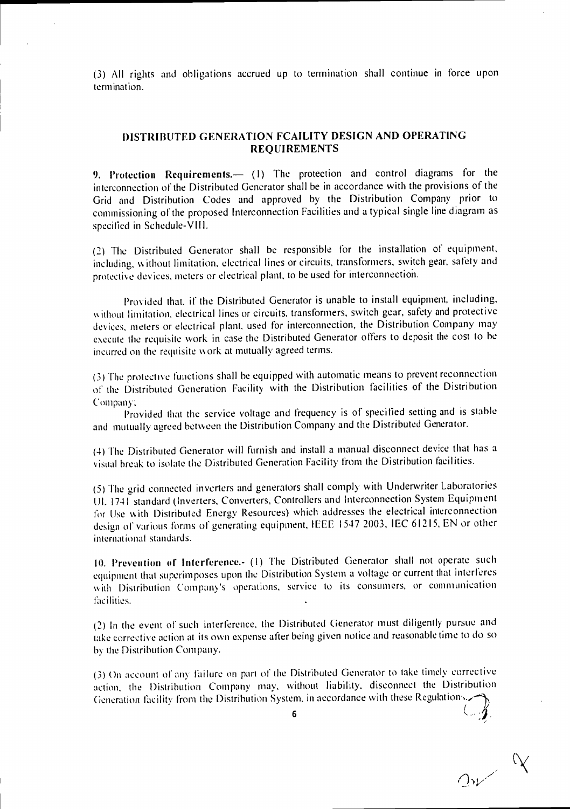(3) All rights and obligations accrued up to termination shall continue in force upon termination.

### **DISTRIBUTED GENERATION FCAILITY DESIGN AND OPERATING REQUIREMENTS**

**9. Protection Requirements.—** (I) The protection and control diagrams for the interconnection of the Distributed Generator shall be in accordance with the provisions of the Grid and Distribution Codes and approved by the Distribution Company prior to commissioning of the proposed Interconnection Facilities and a typical single line diagram as specified in Schedule-VIII.

(2) The Distributed Generator shall be responsible for the installation of equipment, including, w ithout limitation, electrical lines or circuits, transformers, switch gear, safety and protective devices, meters or electrical plant, to be used for interconnection.

Provided that, if the Distributed Generator is unable to install equipment, including, without limitation, electrical lines or circuits, transformers, switch gear, safety and protective devices, meters or electrical plant, used for interconnection, the Distribution Company may execute the requisite work in case the Distributed Generator offers to deposit the cost to he incurred on the requisite work at mutually agreed terms.

(3) The protective functions shall he equipped with automatic means to prevent reconnection of the Distributed Generation Facility with the Distribution facilities of the Distribution Company;

Provided that the service voltage and frequency is of specified setting and is stable and mutually agreed between the Distribution Company and the Distributed Generator.

(4) The Distributed Generator will furnish and install a manual disconnect device that has a visual break to isolate the Distributed Generation Facility from the Distribution facilities.

(5) The grid connected inverters and generators shall comply with Underwriter Laboratories UL 1741 standard (Inverters, Converters, Controllers and Interconnection System Equipment for Use w ith Distributed Energy Resources) which addresses the electrical interconnection design of various forms of generating equipment, IEEE 1547 2003, IEC 61215, EN or other international standards.

10. Prevention of Interference.- (1) The Distributed Generator shall not operate such equipment that superimposes upon the Distribution System a voltage or current that interferes with Distribution Company's operations, service to its consumers, or communication facilities.

(2) In the event of such interference, the Distributed Generator must diligently pursue and take corrective action at its own expense alter being given notice and reasonable time to do so by the Distribution Company.

(3) On account of any failure on part of the Distributed Generator to take timely corrective action, the Distribution Company may, without liability, disconnect the Distribution Generation facility from the Distribution System, in accordance with these Regulations.

**6 '**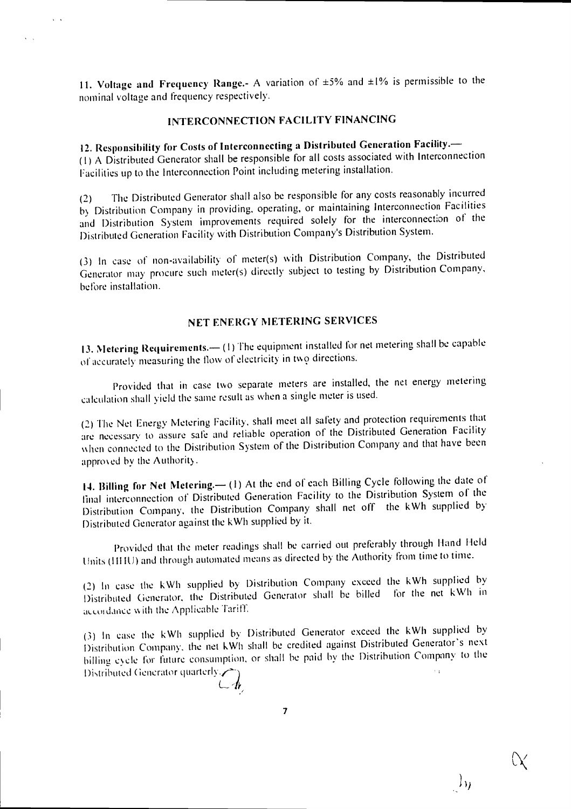**11. Voltage and Frequency Range.-** A variation of ±5% and ±1% is permissible to the nominal voltage and frequency respectively.

### **INTERCONNECTION FACILITY FINANCING**

# **12. Responsibility for Costs of Interconnecting a Distributed Generation Facility.—**

**(I)** A Distributed Generator shall be responsible for all costs associated with Interconnection Facilities up to the Interconnection Point including metering installation.

(2) The Distributed Generator shall also be responsible for any costs reasonably incurred by Distribution Company in providing, operating, or maintaining Interconnection Facilities and Distribution System improvements required solely for the interconnection of the Distributed Generation Facility with Distribution Company's Distribution System.

(3) In case of non-availability of meter(s) with Distribution Company, the Distributed Generator may procure such meter(s) directly subject to testing by Distribution Company, before installation.

### **NET ENERGY METERING SERVICES**

**13. Metering Requirements.— (I)** The equipment installed for net metering shall be capable of accurately measuring the flow of electricity in two directions.

Provided that in case two separate meters are installed, the net energy metering calculation shall yield the same result as when a single meter is used.

(2) The Net Energy Metering Facility, shall meet all safety and protection requirements that are necessary to assure safe and reliable operation of the Distributed Generation Facility when connected to the Distribution System of the Distribution Company and that have been approved by the Authority.

**14. Billing for Net Metering.—** (I) At the end of each Billing Cycle following the date of final interconnection of Distributed Generation Facility to the Distribution System of the Distribution Company, the Distribution Company shall net off the kWh supplied by Distributed Generator against the kWh supplied by it.

Provided that the meter readings shall be carried out preferably through Hand Held Units (HHU) and through automated means as directed by the Authority from time to time.

(2) In case the kWh supplied by Distribution Company exceed the kWh supplied by Distributed Generator, the Distributed Generator shall he billed for the net kWh in accordance with the Applicable Tariff.

(3) In case the kWh supplied by Distributed Generator exceed the kWh supplied by Distribution Company, the net kWh shall be credited against Distributed Generator's next billing cycle for future consumption, or shall be paid by the Distribution Company to the  $\sim$   $\sim$ Distributed Generator quarterly. $\blacktriangleright$ 

7

ी भ

11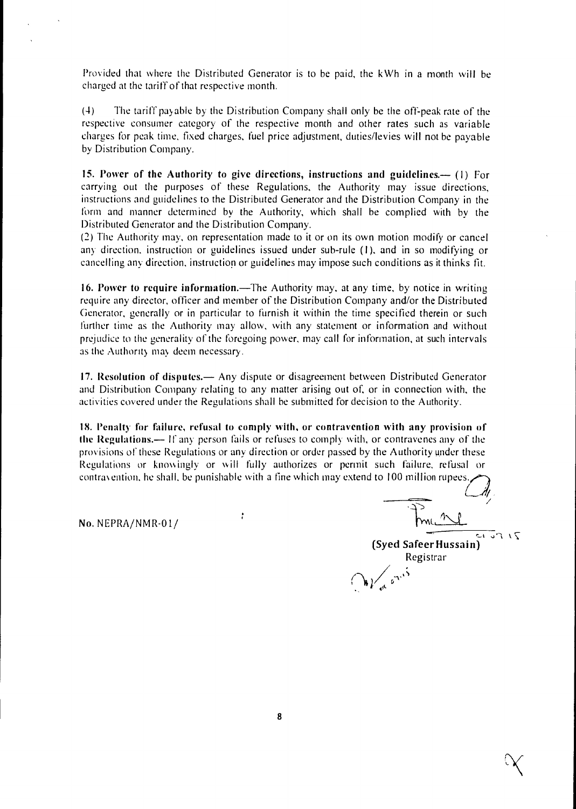Provided that where the Distributed Generator is to be paid, the kWh in a month will be charged at the tariff of that respective month.

(4) The tariff payable by the Distribution Company shall only be the off-peak rate of the respective consumer category of the respective month and other rates such as variable charges for peak time, fixed charges, fuel price adjustment, duties/levies will not be payable by Distribution Company.

**15. Power of the Authority to give directions, instructions and guidelines.— (I)** For carrying out the purposes of these Regulations, the Authority may issue directions, instructions and guidelines to the Distributed Generator and the Distribution Company in the form and manner determined by the Authority, which shall be complied with by the Distributed Generator and the Distribution Company.

(2) The Authority may, on representation made to it or on its own motion modify or cancel any direction, instruction or guidelines issued under sub-rule (1), and in so modifying or cancelling any direction, instruction or guidelines may impose such conditions as it thinks fit.

**16. Power to require information.—The** Authority may, at any time, by notice in writing require any director, officer and member of the Distribution Company and/or the Distributed Generator, generally or in particular to furnish it within the time specified therein or such further time as the Authority may allow, with any statement or information and without prejudice to the generality of the foregoing power, may call for information, at such intervals as the Authority may deem necessary.

**17. Resolution of disputes.—** Any dispute or disagreement between Distributed Generator and Distribution Company relating to any matter arising out of, or in connection with, the activities covered under the Regulations shall he submitted for decision to the Authority.

**18. Penalty for failure, refusal to comply with, or contravention with any provision of the Regulations.— If** any person fails or refuses to comply with, or contravenes any of the provisions of these Regulations or any direction or order passed by the Authority under these Regulations or knowingly or will fully authorizes or permit such failure, refusal or

No. NEPRA/NMR-01/ produced to 100 million rupees. - ■ ..)r-<sup>1</sup> **(Syed Safeer Hussain)**  Registrar<br> $\bigvee_{\alpha \in \mathbb{R}^n} e^{\frac{1}{2} \sum_{i=1}^n \alpha_i}$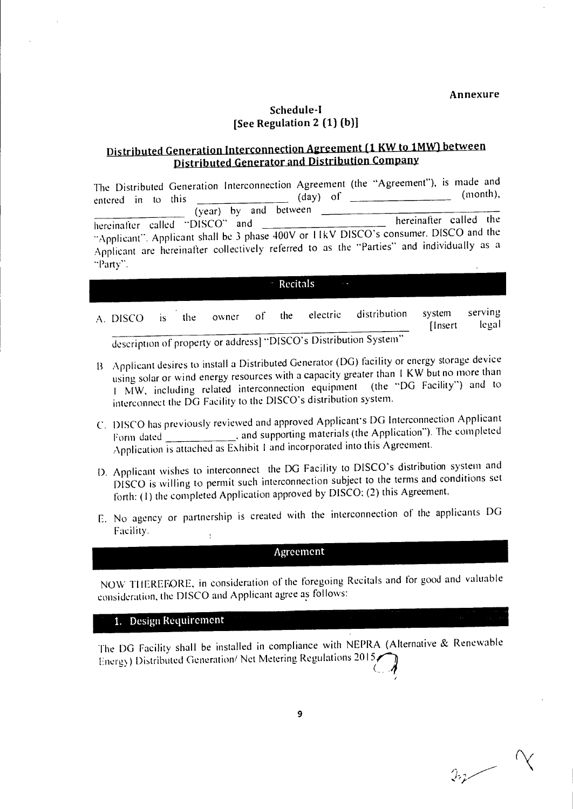$\frac{1}{2}$ 

### **Schedule-I [See Regulation 2 (1) (b)]**

# **Distributed Generation Interconnection Agreement (1 KW to 1MW) between Distributed Generator and Distribution Company**

| entered in to this<br>(year) by and between | The Distributed Generation Interconnection Agreement (the "Agreement"), is made and<br>$(month)$ ,<br>$(day)$ of                                                                                            |
|---------------------------------------------|-------------------------------------------------------------------------------------------------------------------------------------------------------------------------------------------------------------|
| hereinafter called "DISCO" and<br>"Party".  | hereinafter called the<br>"Applicant". Applicant shall be 3 phase 400V or 11kV DISCO's consumer. DISCO and the<br>Applicant are hereinafter collectively referred to as the "Parties" and individually as a |

#### **Recitals**

- A. DISCO is the owner of the electric distribution system serving [Insert legal description of property or address] "DISCO's Distribution System"
- Applicant desires to install a Distributed Generator (DG) facility or energy storage device using solar or wind energy resources with a capacity greater than I KW but no more than I MW, including related interconnection equipment (the "DG Facility") and to interconnect the DG Facility to the DISCO's distribution system.
- C. DISCO has previously reviewed and approved Applicant's DG Interconnection Applicant Form dated \_\_\_\_\_\_\_\_\_\_\_\_\_\_, and supporting materials (the Application"). The completed Application is attached as Exhibit I and incorporated into this Agreement.
- D. Applicant wishes to interconnect the DG Facility to DISCO's distribution system and DISCO is willing to permit such interconnection subject to the terms and conditions set forth: (1) the completed Application approved by DISCO; (2) this Agreement.
- F. No agency or partnership is created with the interconnection of the applicants DG Facility.  $\mathbf{t}$

### Agreement

NOW TI IEREFORE, in consideration of the foregoing Recitals and for good and valuable consideration, the DISCO and Applicant agree as follows:

### 1. Design **Requirement**

The DG Facility shall be installed in compliance with NEPRA (Alternative & Renewable Energy) Distributed Generation/ Net Metering Regulations 2015,

**9**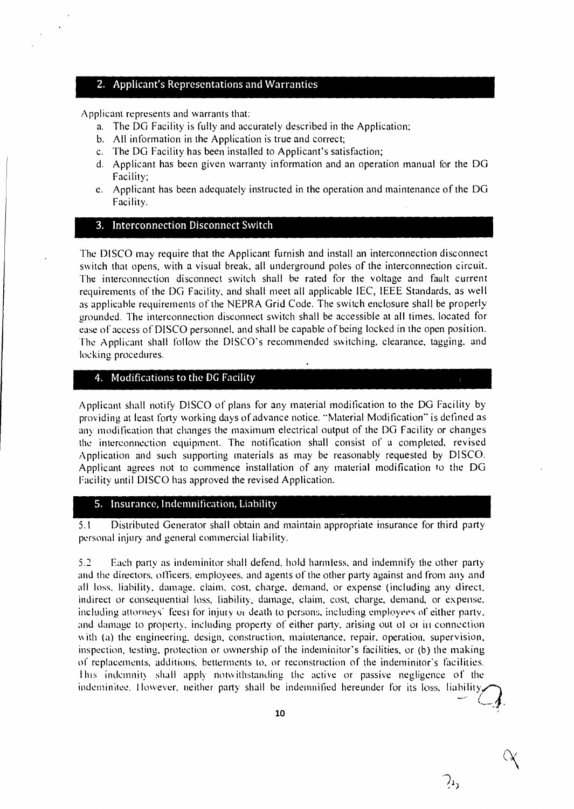### 2. Applicant's Representations and Warranties

Applicant represents and warrants that:

- a. The DG Facility is fully and accurately described in the Application;
- b. All information in the Application is true and correct;
- c. The DG Facility has been installed to Applicant's satisfaction;
- d. Applicant has been given warranty information and an operation manual for the DG Facility;
- e. Applicant has been adequately instructed in the operation and maintenance of the DG Facility.

#### 3. Interconnection Disconnect Switch

The DISCO may require that the Applicant furnish and install an interconnection disconnect switch that opens, with a visual break, all underground poles of the interconnection circuit. The interconnection disconnect switch shall he rated for the voltage and fault current requirements of the DC, Facility, and shall meet all applicable IEC, IEEE Standards, as well as applicable requirements of the NEPRA Grid Code. The switch enclosure shall be properly erounded. The interconnection disconnect switch shall be accessible at all times, located for ease of access of DISCO personnel, and shall be capable of being locked in the open position. The Applicant shall follow the DISCO's recommended switching, clearance, tagging, and locking procedures.

#### 4. Modifications to the DG Facility

Applicant shall notify DISCO of plans for any material modification to the DG Facility by providing at least forty working days of advance notice. "Material Modification" is defined as any modification that changes the maximum electrical output of the DG Facility or changes the interconnection equipment. The notification shall consist of a completed, revised Application and such supporting materials as may be reasonably requested by DISCO. Applicant agrees not to commence installation of any material modification to the DG Facility until DISCO has approved the revised Application.

#### 5. Insurance, Indemnification, Liability

5.I Distributed Generator shall obtain and maintain appropriate insurance for third party personal injury and general commercial liability.

5.2 Each party as indeminitor shall defend, hold harmless, and indemnify the other party and the directors, officers, employees, and agents of the other party against and from any and all loss. liability. damage. claim, cost, charge, demand, or expense (including any direct, indirect or consequential loss, liability, damage, claim, cost, charge, demand, or expense, including attorneys' fees) for injury of death to persons, including employees of either party. and damage to property, including property of either party, arising out of or in connection with (a) the engineering, design, construction, maintenance, repair, operation, supervision, inspection, testing, protection or ownership of the indeminitor's facilities, or (b) the making of replacements, additions, betterments to, or reconstruction of the indeminitor's facilities. I his indemnit) shall apply notwithstanding the active or passive negligence of the indeminitee. However, neither party shall be indemnified hereunder for its loss, liability

 $\lambda_1$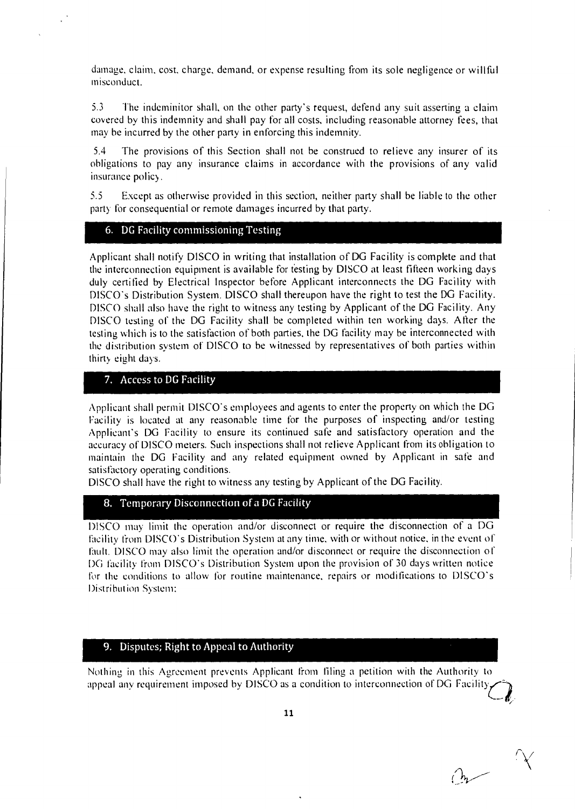damage, claim, cost, charge, demand, or expense resulting from its sole negligence or willful misconduct.

5.3 The indeminitor shall, on the other party's request, defend any suit asserting a claim covered by this indemnity and shall pay for all costs, including reasonable attorney fees, that may he incurred by the other party in enforcing this indemnity.

5.4 The provisions of this Section shall not be construed to relieve any insurer of its obligations to pay any insurance claims in accordance with the provisions of any valid insurance policy.

5.5 Except as otherwise provided in this section, neither party shall be liable to the other party for consequential or remote damages incurred by that party.

### 6. DG Facility commissioning Testing

Applicant shall notify DISCO in writing that installation of DG Facility is complete and that the interconnection equipment is available for testing by DISCO at least fifteen working days duly certified by Electrical Inspector before Applicant interconnects the DG Facility with DISCO's Distribution System. DISCO shall thereupon have the right to test the DG Facility. DISCO shall also have the right to witness any testing by Applicant of the DG Facility. Any DISCO testing of the DG Facility shall be completed within ten working days. After the testing which is to the satisfaction of both parties, the DG facility may be interconnected with the distribution system of DISCO to be witnessed by representatives of both parties within thirty eight days.

### 7. Access to DG Facility

Applicant shall permit DISCO's employees and agents to enter the property on which the DG Facility is located at any reasonable time for the purposes of inspecting and/or testing Applicant's DG Facility to ensure its continued safe and satisfactory operation and the accuracy of DISCO meters. Such inspections shall not relieve Applicant from its obligation to maintain the DG Facility and any related equipment owned by Applicant in safe and satisfactory operating conditions.

DISCO shall have the right to witness any testing by Applicant of the DG Facility.

#### 8. Temporary Disconnection of a DG Facility

DISCO may limit the operation and/or disconnect or require the disconnection of a DG facility from DISCO's Distribution System at any time, with or without notice, in the event of fault. DISCO may also limit the operation and/or disconnect or require the disconnection of DC facility from DISCO's Distribution System upon the provision of 30 days written notice for the conditions to allow for routine maintenance, repairs or modifications to DISCO's Distribution System:

#### 9. Disputes; Right to Appeal to Authority

Nothing in this Agreement prevents Applicant from filing a petition with the Authority to appeal any requirement imposed by DISCO as a condition to interconnection of DG Facility.

 $a$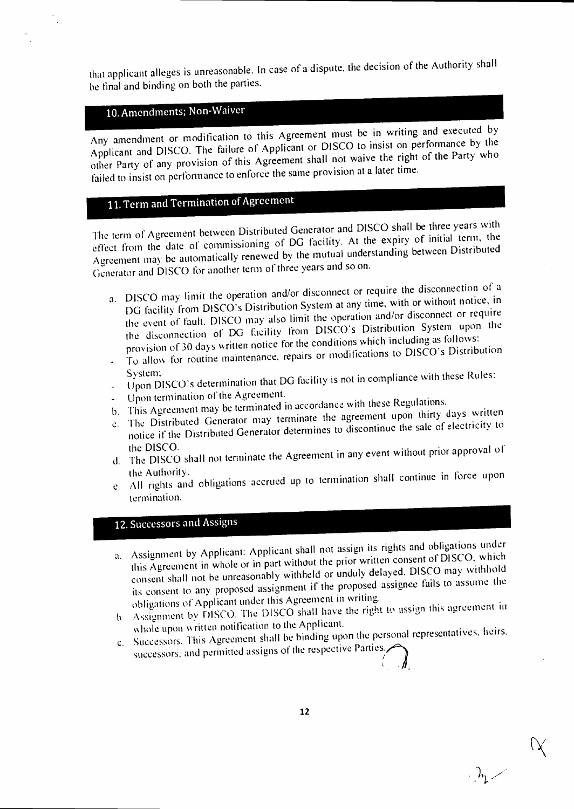that applicant alleges is unreasonable. In case of a dispute, the decision of the Authority shall be final and binding on both the parties.

# 10. Amendments; Non-Waiver

Any amendment or modification to this Agreement must be in writing and executed by Applicant and DISCO. The failure of Applicant or DISCO to insist on performance by the other Party of any provision of this Agreement shall not waive the right of the Party who failed to insist on performance to enforce the same provision at a later time.

# 11. Term and Termination of Agreement

The term of Agreement between Distributed Generator and DISCO shall be three years with effect from the date of commissioning of DG facility. At the expiry of initial term, the Agreement may be automatically renewed by the mutual understanding between Distributed Generator and DISCO for another term of three years and so on.

- a. DISCO may limit the operation and/or disconnect or require the disconnection of a DG facility from DISCO's Distribution System at any time, with or without notice, in the event of fault. DISCO may also limit the operation and/or disconnect or require the disconnection of DG facility from DISCO'S Distribution System upon the provision of 30 days written notice for the conditions which including as follows:
- To allow for routine maintenance, repairs or modifications to DISCO's Distribution
- System:<br>Upon DISCO's determination that DG facility is not in compliance with these Rules:
- Upon termination of the Agreement.
- b. This Agreement may be terminated in accordance with these Regulations.
- c. The Distributed Generator may terminate the agreement upon thirty days written<br>c. The Distributed Generator may terminate to discontinue the sale of electricity to notice if the Distributed Generator determines to discontinue the sale of electricity to the DISCO.
- d. The DISCO shall not terminate the Agreement in any event without prior approval of the Authority.
- e. All rights and obligations accrued up to termination shall continue in force upon termination.

# 12. Successors and Assigns

- a. Assignment by Applicant: Applicant shall not assign its rights and obligations under this Agreement in whole or in part without the prior written consent of DISCO, which consent shall not he unreasonably withheld or unduly delayed. DISCO may withhold its consent to any proposed assignment if the proposed assignee fails to assume the obligations of Applicant under this Agreement in writing.
- f. Assignment by DISCO. The DISCO shall have the right to assign this agreement in whole upon written notification to the Applicant.
- c. Successors. This Agreement shall be binding upon the personal representatives, heirs,
- successors, and permitted assigns of the respective Parties.

 $\Delta_{1}$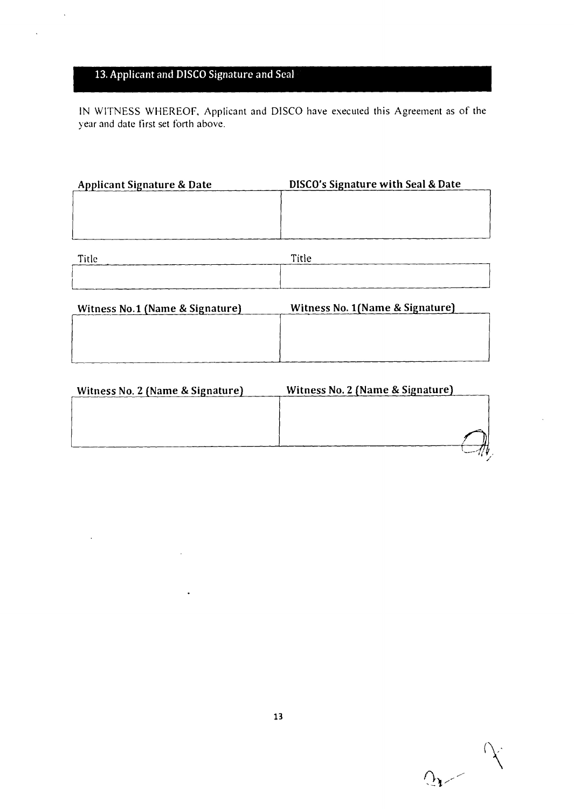# 13. Applicant and DISCO Signature and Seal

 $\ddot{\phantom{0}}$ 

 $\ddot{\phantom{0}}$ 

 $\sim$ 

 $\ddot{\phantom{a}}$ 

IN WITNESS WHEREOF, Applicant and DISCO have executed this Agreement as of the year and date first set forth above.

| <b>Applicant Signature &amp; Date</b> | DISCO's Signature with Seal & Date |
|---------------------------------------|------------------------------------|
|                                       |                                    |
|                                       |                                    |
|                                       |                                    |
|                                       |                                    |

| Title | Title |
|-------|-------|
|       |       |
|       |       |

| Witness No.1 (Name & Signature) | Witness No. 1 (Name & Signature) |
|---------------------------------|----------------------------------|
|                                 |                                  |
|                                 |                                  |
|                                 |                                  |
|                                 |                                  |

| Witness No. 2 (Name & Signature) | Witness No. 2 (Name & Signature) |
|----------------------------------|----------------------------------|
|                                  |                                  |
|                                  |                                  |
|                                  |                                  |
|                                  |                                  |

 $Q_{\rm{max}}$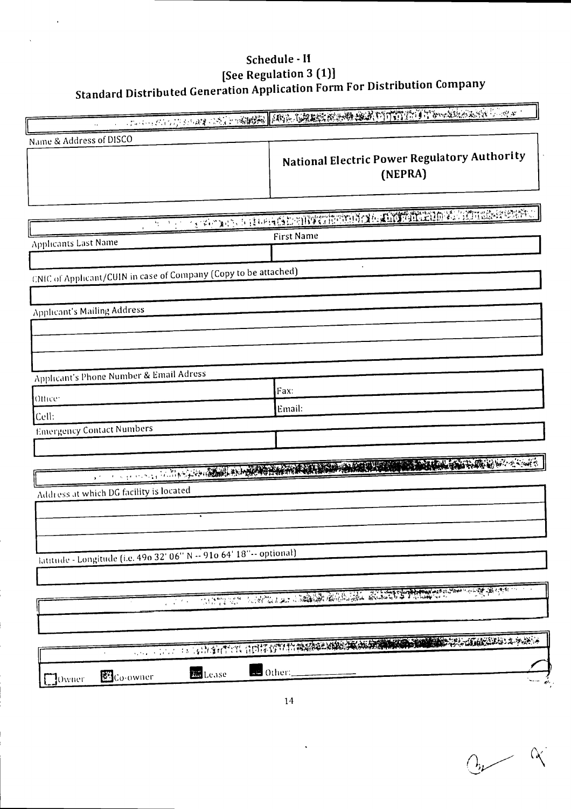# Schedule - II See Regulation 3 (1)]<br>Standard Distributed Generation Application Form For Distribution Company

| Name & Address of DISCO<br>National Electric Power Regulatory Authority<br>(NEPRA)<br><u>A San American Barba Shanya Thank Shakar ta ta 200 a ta 200 a ta 200 a ta 200 a ta 200 a ta 200 a ta 200 a ta</u><br><b>First Name</b><br><b>Applicants Last Name</b><br>CNIC of Applicant/CUIN in case of Company (Copy to be attached)<br><b>Applicant's Mailing Address</b><br>Applicant's Phone Number & Email Adress<br>Fax:<br>Othee:<br>Email:<br>Cell:<br><b>Emergency Contact Numbers</b><br>NASH A MARKETING<br>A CAR HOLD OF BUILDING AND ALL AND<br>Address at which DG facility is located<br>latitude - Longitude (i.e. 490 32' 06" N -- 910 64' 18" -- optional)<br>A STATISTICAL AND CONTINUES OF THE COMMUNICATION OF THE COMMUNICATION OF THE COMMUNICATION OF THE CONTINUES.<br>$\mathcal{L}^{\text{max}}$<br>as Other:<br><b>En</b> Lease |                      | A DEL COLORADO DE SU DEL CARLO DE DE CONSUMERADO DE PORTUGAL DE CONSUMERADO DE CONSUMIENTO DE CONSUMIENTO DE C |
|--------------------------------------------------------------------------------------------------------------------------------------------------------------------------------------------------------------------------------------------------------------------------------------------------------------------------------------------------------------------------------------------------------------------------------------------------------------------------------------------------------------------------------------------------------------------------------------------------------------------------------------------------------------------------------------------------------------------------------------------------------------------------------------------------------------------------------------------------------|----------------------|----------------------------------------------------------------------------------------------------------------|
|                                                                                                                                                                                                                                                                                                                                                                                                                                                                                                                                                                                                                                                                                                                                                                                                                                                        |                      |                                                                                                                |
|                                                                                                                                                                                                                                                                                                                                                                                                                                                                                                                                                                                                                                                                                                                                                                                                                                                        |                      |                                                                                                                |
|                                                                                                                                                                                                                                                                                                                                                                                                                                                                                                                                                                                                                                                                                                                                                                                                                                                        |                      |                                                                                                                |
|                                                                                                                                                                                                                                                                                                                                                                                                                                                                                                                                                                                                                                                                                                                                                                                                                                                        |                      |                                                                                                                |
|                                                                                                                                                                                                                                                                                                                                                                                                                                                                                                                                                                                                                                                                                                                                                                                                                                                        |                      |                                                                                                                |
|                                                                                                                                                                                                                                                                                                                                                                                                                                                                                                                                                                                                                                                                                                                                                                                                                                                        |                      |                                                                                                                |
|                                                                                                                                                                                                                                                                                                                                                                                                                                                                                                                                                                                                                                                                                                                                                                                                                                                        |                      |                                                                                                                |
|                                                                                                                                                                                                                                                                                                                                                                                                                                                                                                                                                                                                                                                                                                                                                                                                                                                        |                      |                                                                                                                |
|                                                                                                                                                                                                                                                                                                                                                                                                                                                                                                                                                                                                                                                                                                                                                                                                                                                        |                      |                                                                                                                |
|                                                                                                                                                                                                                                                                                                                                                                                                                                                                                                                                                                                                                                                                                                                                                                                                                                                        |                      |                                                                                                                |
|                                                                                                                                                                                                                                                                                                                                                                                                                                                                                                                                                                                                                                                                                                                                                                                                                                                        |                      |                                                                                                                |
|                                                                                                                                                                                                                                                                                                                                                                                                                                                                                                                                                                                                                                                                                                                                                                                                                                                        |                      |                                                                                                                |
|                                                                                                                                                                                                                                                                                                                                                                                                                                                                                                                                                                                                                                                                                                                                                                                                                                                        |                      |                                                                                                                |
|                                                                                                                                                                                                                                                                                                                                                                                                                                                                                                                                                                                                                                                                                                                                                                                                                                                        |                      |                                                                                                                |
|                                                                                                                                                                                                                                                                                                                                                                                                                                                                                                                                                                                                                                                                                                                                                                                                                                                        |                      |                                                                                                                |
|                                                                                                                                                                                                                                                                                                                                                                                                                                                                                                                                                                                                                                                                                                                                                                                                                                                        |                      |                                                                                                                |
|                                                                                                                                                                                                                                                                                                                                                                                                                                                                                                                                                                                                                                                                                                                                                                                                                                                        |                      |                                                                                                                |
|                                                                                                                                                                                                                                                                                                                                                                                                                                                                                                                                                                                                                                                                                                                                                                                                                                                        |                      |                                                                                                                |
|                                                                                                                                                                                                                                                                                                                                                                                                                                                                                                                                                                                                                                                                                                                                                                                                                                                        |                      |                                                                                                                |
|                                                                                                                                                                                                                                                                                                                                                                                                                                                                                                                                                                                                                                                                                                                                                                                                                                                        |                      |                                                                                                                |
|                                                                                                                                                                                                                                                                                                                                                                                                                                                                                                                                                                                                                                                                                                                                                                                                                                                        |                      |                                                                                                                |
|                                                                                                                                                                                                                                                                                                                                                                                                                                                                                                                                                                                                                                                                                                                                                                                                                                                        |                      |                                                                                                                |
|                                                                                                                                                                                                                                                                                                                                                                                                                                                                                                                                                                                                                                                                                                                                                                                                                                                        |                      |                                                                                                                |
|                                                                                                                                                                                                                                                                                                                                                                                                                                                                                                                                                                                                                                                                                                                                                                                                                                                        |                      |                                                                                                                |
|                                                                                                                                                                                                                                                                                                                                                                                                                                                                                                                                                                                                                                                                                                                                                                                                                                                        |                      |                                                                                                                |
|                                                                                                                                                                                                                                                                                                                                                                                                                                                                                                                                                                                                                                                                                                                                                                                                                                                        |                      |                                                                                                                |
|                                                                                                                                                                                                                                                                                                                                                                                                                                                                                                                                                                                                                                                                                                                                                                                                                                                        |                      |                                                                                                                |
|                                                                                                                                                                                                                                                                                                                                                                                                                                                                                                                                                                                                                                                                                                                                                                                                                                                        |                      |                                                                                                                |
|                                                                                                                                                                                                                                                                                                                                                                                                                                                                                                                                                                                                                                                                                                                                                                                                                                                        |                      |                                                                                                                |
|                                                                                                                                                                                                                                                                                                                                                                                                                                                                                                                                                                                                                                                                                                                                                                                                                                                        |                      |                                                                                                                |
|                                                                                                                                                                                                                                                                                                                                                                                                                                                                                                                                                                                                                                                                                                                                                                                                                                                        |                      |                                                                                                                |
|                                                                                                                                                                                                                                                                                                                                                                                                                                                                                                                                                                                                                                                                                                                                                                                                                                                        |                      |                                                                                                                |
|                                                                                                                                                                                                                                                                                                                                                                                                                                                                                                                                                                                                                                                                                                                                                                                                                                                        | 58 Co-owner<br>Owner |                                                                                                                |

 $Q_{\mu}$   $\propto$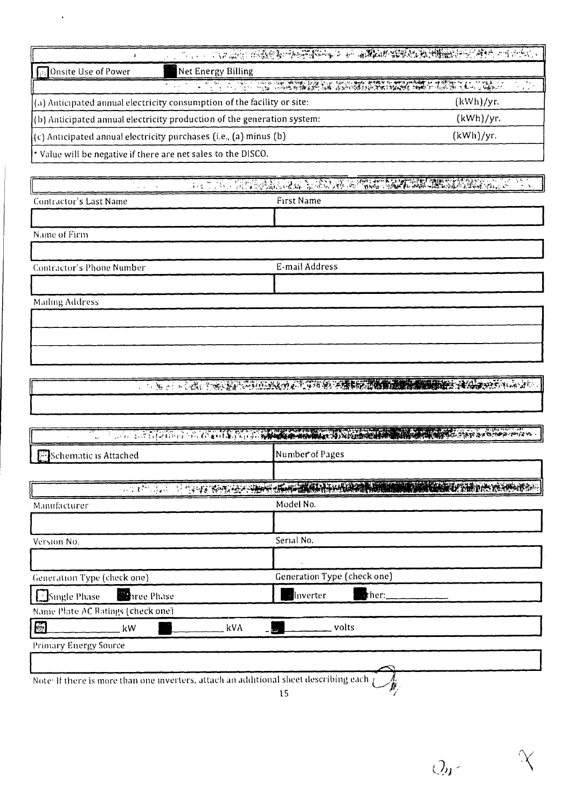|                                 | THE LETTER CONTRACT OF THE RESIDENCE OF THE STANDARD CONTRACT OF THE CONTRACT OF THE CONTRACT OF THE CONTRACT OF |           |
|---------------------------------|------------------------------------------------------------------------------------------------------------------|-----------|
| <b>I</b> Galonsite Use of Power | Net Energy Billing                                                                                               |           |
|                                 |                                                                                                                  |           |
|                                 | $\left( \alpha \right)$ Anticipated annual electricity consumption of the facility or site:                      | (kWh)/yr. |
|                                 | $($ b) Anticipated annual electricity production of the generation system:                                       | (kWh)/yr. |
|                                 | $(c)$ Anticipated annual electricity purchases (i.e., (a) minus (b)                                              | (kWh)/yr. |
|                                 | * Value will be negative if there are net sales to the DISCO.                                                    |           |

 $\hat{\mathbf{r}}$ 

 $\bar{z}$ 

| $\mathbf{q} = \mathbf{q}$ , $\mathbf{q} = \mathbf{q}$ , |                   |
|---------------------------------------------------------|-------------------|
| Contractor's Last Name                                  | <b>First Name</b> |
|                                                         |                   |
| Name of Firm                                            |                   |
|                                                         |                   |
| Contractor's Phone Number                               | E-mail Address    |
|                                                         |                   |
| <b>Mailing Address</b>                                  |                   |
|                                                         |                   |
|                                                         |                   |
|                                                         |                   |
|                                                         |                   |

|  | <b>THE CONSTRUCTION OF THE CONSTRUCTION OF THE CONSTRUCTION OF THE CONSTRUCTION OF THE CONSTRUCTION</b> |  |
|--|---------------------------------------------------------------------------------------------------------|--|

| <b>Exercise Schematic is Attached</b>                                                 | Number of Pages                                                                                                |
|---------------------------------------------------------------------------------------|----------------------------------------------------------------------------------------------------------------|
|                                                                                       |                                                                                                                |
|                                                                                       | A CONTRACTO DI TRANSCO CON CONTRACTO A COMPANY ANNO 1999 ANNO 1999 ANNO 1999 ANNO 1999 ANNO 1999 ANNO 1999 ANN |
| Manufacturer                                                                          | Model No.                                                                                                      |
|                                                                                       |                                                                                                                |
| Version No.                                                                           | Serial No.                                                                                                     |
|                                                                                       |                                                                                                                |
| Generation Type (check one)                                                           | Generation Type (check one)                                                                                    |
| Single Phase<br><b>Re</b> nce Phase                                                   | $\blacksquare$ then:<br><b>A</b> lnverter                                                                      |
| Name Plate AC Ratings (check one)                                                     |                                                                                                                |
| $\epsilon$<br>kVA<br>kW                                                               | volts                                                                                                          |
| <b>Primary Energy Source</b>                                                          |                                                                                                                |
|                                                                                       |                                                                                                                |
| Note: If there is more than one inverters, attach an additional sheet describing each | 15                                                                                                             |

 $Q_{\theta}$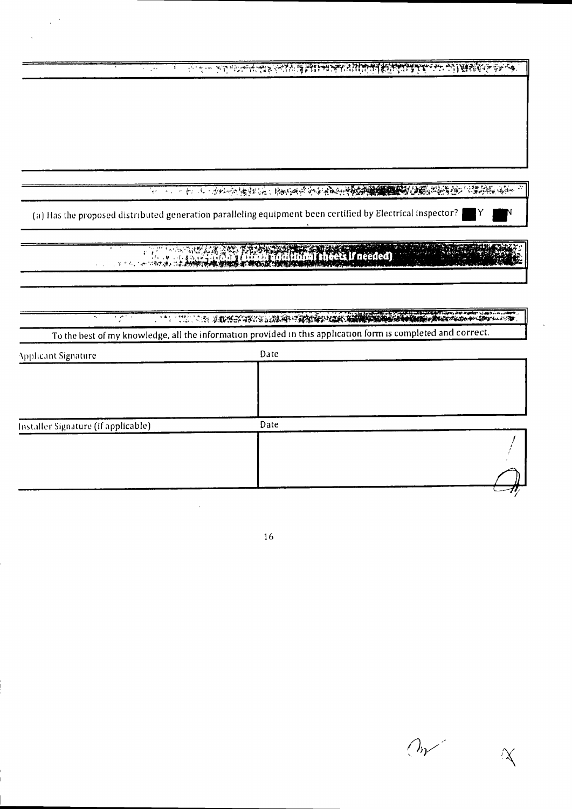<u>न्तर्गत अनुसार स्वर्थन्तर अधिकारण सातानिन सिन्निकारण अनुसारमंत्र अस्ति ।</u>  $\overline{1}$ Ŧ

(a) Has the proposed distributed generation paralleling equipment been certified by Electrical inspector?

A A A CONTRACTOR A CARDON DE LA CONTRACTIVITA DE LA CONTRACTIVITA DE LA CONTRACTIVITA DE LA CONTRACTIVITA DE  $\mathcal{L}$ To the best of my knowledge, all the information provided in this application form is completed and correct.

| <b>Applicant Signature</b>          | Date |  |
|-------------------------------------|------|--|
|                                     |      |  |
|                                     |      |  |
|                                     |      |  |
|                                     |      |  |
| Installer Signature (if applicable) | Date |  |
|                                     |      |  |
|                                     |      |  |
|                                     |      |  |
|                                     |      |  |

16

 $O_{\mathcal{V}}$ X

IY.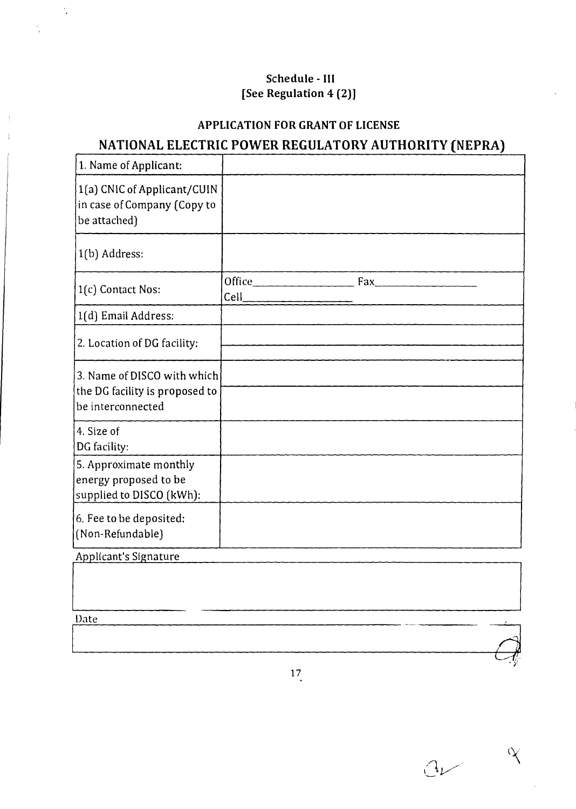# **Schedule - III [See Regulation 4 (2)]**

 $\ddot{\cdot}$ 

# **APPLICATION FOR GRANT OF LICENSE**

# **NATIONAL ELECTRIC POWER REGULATORY AUTHORITY (NEPRA)**

| 1. Name of Applicant:                                                              |      |                                   |  |
|------------------------------------------------------------------------------------|------|-----------------------------------|--|
| 1(a) CNIC of Applicant/CUIN<br>in case of Company (Copy to<br>be attached)         |      |                                   |  |
| 1(b) Address:                                                                      |      |                                   |  |
| 1(c) Contact Nos:                                                                  | Cell | Office $\qquad \qquad \text{Fax}$ |  |
| 1(d) Email Address:                                                                |      |                                   |  |
| 2. Location of DG facility:                                                        |      |                                   |  |
| 3. Name of DISCO with which<br>the DG facility is proposed to<br>be interconnected |      |                                   |  |
| 4. Size of<br>DG facility:                                                         |      |                                   |  |
| 5. Approximate monthly<br>energy proposed to be<br>supplied to DISCO (kWh):        |      |                                   |  |
| 6. Fee to be deposited:<br>(Non-Refundable)                                        |      |                                   |  |
| Applicant's Signature                                                              |      |                                   |  |
|                                                                                    |      |                                   |  |
| Date                                                                               |      |                                   |  |
|                                                                                    |      |                                   |  |

 $a$  $\infty$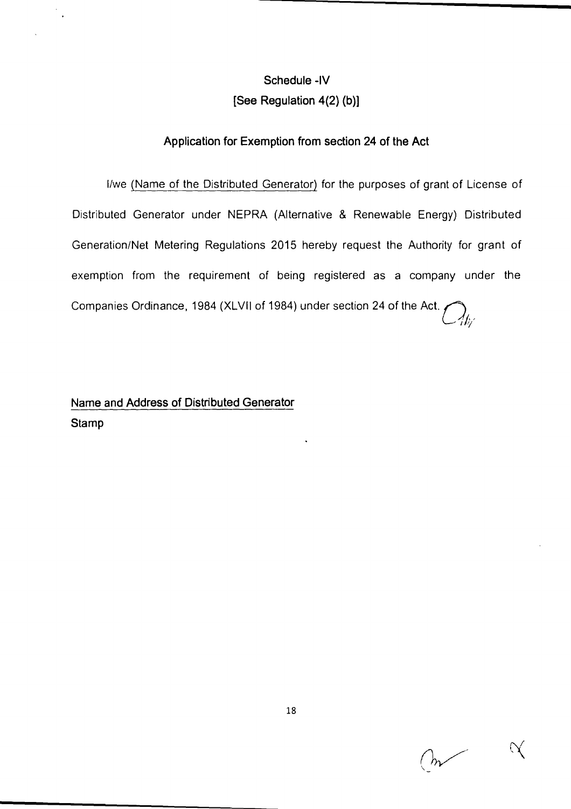# **Schedule -IV [See Regulation 4(2) (b)]**

### **Application for Exemption from section 24 of the Act**

I/we (Name of the Distributed Generator) for the purposes of grant of License of Distributed Generator under NEPRA (Alternative & Renewable Energy) Distributed Generation/Net Metering Regulations 2015 hereby request the Authority for grant of exemption from the requirement of being registered as a company under the Companies Ordinance, 1984 (XLVII of 1984) under section 24 of the Act.  $\bigcirc$   $\bigcirc$ 

# **Name and Address of Distributed Generator Stamp**

 $\mathcal{N}$  $\sim$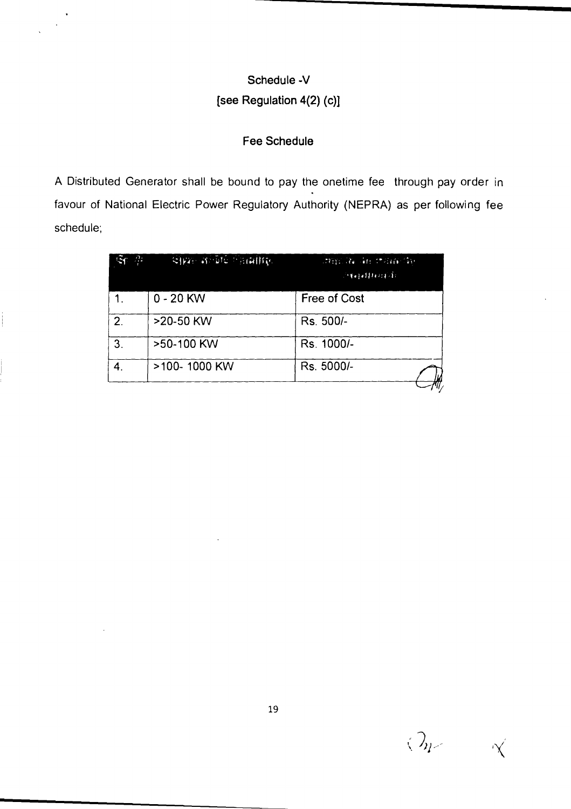# **Schedule -V**

# **[see Regulation 4(2) (c)1**

### **Fee Schedule**

A Distributed Generator shall be bound to pay the onetime fee through pay order in favour of National Electric Power Regulatory Authority (NEPRA) as per following fee schedule; be bound to pay the estimate of the vertical state<br>over Regulatory Aut<br>of the contribution

| $\mathcal{D}_{\mathcal{I}}$ | Cival andré harattre. | 计图片语言 计百存值          |
|-----------------------------|-----------------------|---------------------|
| 1.                          | $0 - 20$ KW           | <b>Free of Cost</b> |
| 2 <sub>1</sub>              | >20-50 KW             | Rs. 500/-           |
| 3.                          | >50-100 KW            | Rs. 1000/-          |
| $\boldsymbol{4}$ .          | >100-1000 KW          | Rs. 5000/-          |
|                             |                       |                     |

 $\langle \, \mathcal{I}_{\mu} \rangle$ 'X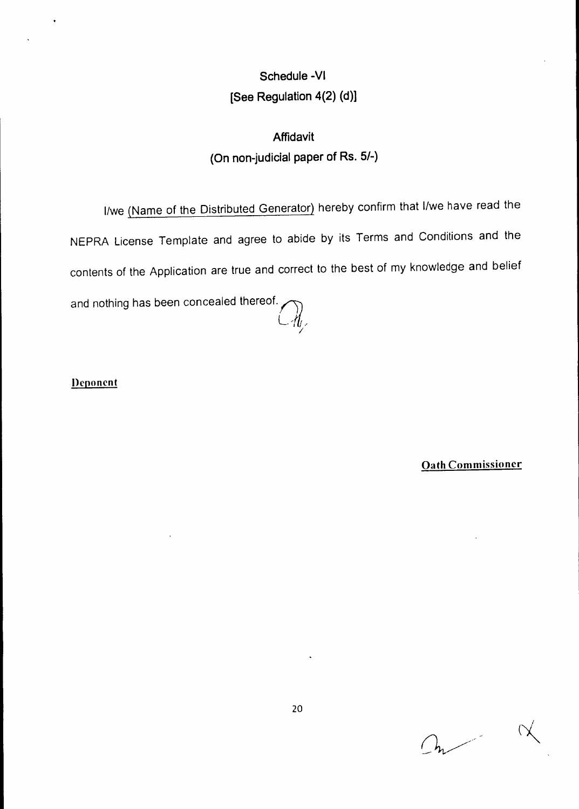# **Schedule -VI [See Regulation 4(2) (d)]**

# **Affidavit (On non-judicial paper of Rs. 5/-)**

I/we (Name of the Distributed Generator) hereby confirm that I/we have read the NEPRA License Template and agree to abide by its Terms and Conditions and the contents of the Application are true and correct to the best of my knowledge and belief and nothing has been concealed thereof.<br> $\bigcirc$ 

Deponent

Oath Commissioner

 $On$ 

 $\alpha$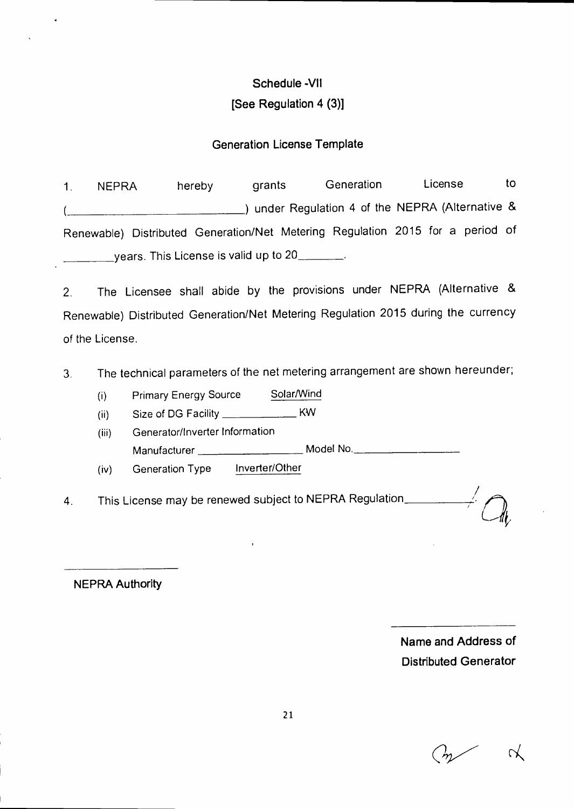# **Schedule -VII [See Regulation 4 (3)]**

### **Generation License Template**

1. NEPRA hereby grants Generation License to (Alternative & ) under Regulation 4 of the NEPRA (Alternative & Renewable) Distributed Generation/Net Metering Regulation 2015 for a period of years. This License is valid up to 20

2. The Licensee shall abide by the provisions under NEPRA (Alternative & Renewable) Distributed Generation/Net Metering Regulation 2015 during the currency of the License.

3. The technical parameters of the net metering arrangement are shown hereunder;

(i) Primary Energy Source Solar/Wind

(ii) Size of DG Facility \_\_\_\_\_\_\_\_\_\_\_\_\_\_\_\_\_ KW

(iii) Generator/Inverter Information Manufacturer \_\_\_\_\_\_\_\_\_\_\_\_\_\_\_\_\_\_\_\_\_ Model No. \_\_\_\_\_\_\_\_\_\_\_\_\_\_\_\_\_\_\_\_\_\_

(iv) Generation Type Inverter/Other

4. This License may be renewed subject to NEPRA Regulation\_

**NEPRA Authority** 

**Name and Address of Distributed Generator**